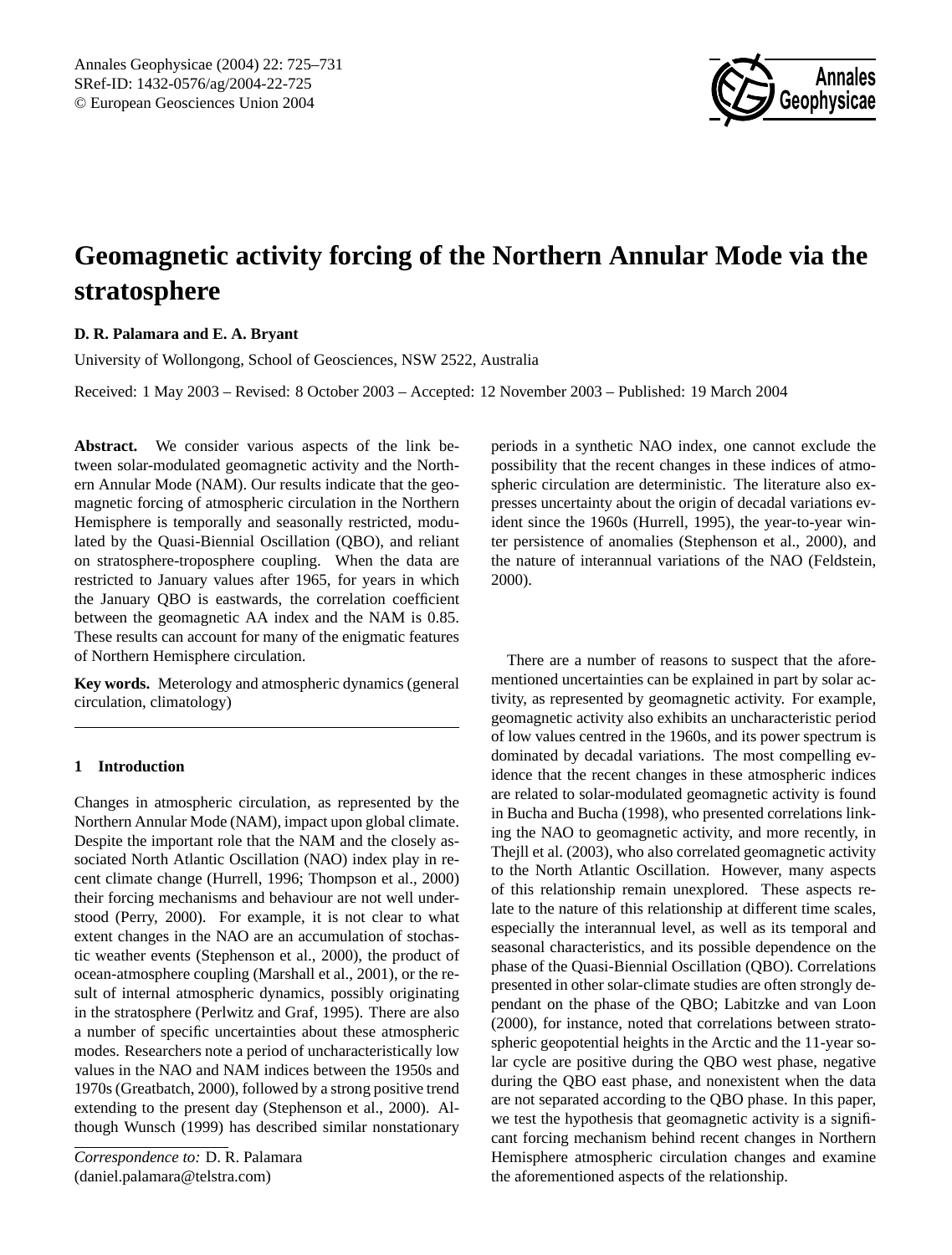

# **Geomagnetic activity forcing of the Northern Annular Mode via the stratosphere**

# **D. R. Palamara and E. A. Bryant**

University of Wollongong, School of Geosciences, NSW 2522, Australia

Received: 1 May 2003 – Revised: 8 October 2003 – Accepted: 12 November 2003 – Published: 19 March 2004

**Abstract.** We consider various aspects of the link between solar-modulated geomagnetic activity and the Northern Annular Mode (NAM). Our results indicate that the geomagnetic forcing of atmospheric circulation in the Northern Hemisphere is temporally and seasonally restricted, modulated by the Quasi-Biennial Oscillation (QBO), and reliant on stratosphere-troposphere coupling. When the data are restricted to January values after 1965, for years in which the January QBO is eastwards, the correlation coefficient between the geomagnetic AA index and the NAM is 0.85. These results can account for many of the enigmatic features of Northern Hemisphere circulation.

**Key words.** Meterology and atmospheric dynamics (general circulation, climatology)

## **1 Introduction**

Changes in atmospheric circulation, as represented by the Northern Annular Mode (NAM), impact upon global climate. Despite the important role that the NAM and the closely associated North Atlantic Oscillation (NAO) index play in recent climate change (Hurrell, 1996; Thompson et al., 2000) their forcing mechanisms and behaviour are not well understood (Perry, 2000). For example, it is not clear to what extent changes in the NAO are an accumulation of stochastic weather events (Stephenson et al., 2000), the product of ocean-atmosphere coupling (Marshall et al., 2001), or the result of internal atmospheric dynamics, possibly originating in the stratosphere (Perlwitz and Graf, 1995). There are also a number of specific uncertainties about these atmospheric modes. Researchers note a period of uncharacteristically low values in the NAO and NAM indices between the 1950s and 1970s (Greatbatch, 2000), followed by a strong positive trend extending to the present day (Stephenson et al., 2000). Although Wunsch (1999) has described similar nonstationary

*Correspondence to:* D. R. Palamara (daniel.palamara@telstra.com)

periods in a synthetic NAO index, one cannot exclude the possibility that the recent changes in these indices of atmospheric circulation are deterministic. The literature also expresses uncertainty about the origin of decadal variations evident since the 1960s (Hurrell, 1995), the year-to-year winter persistence of anomalies (Stephenson et al., 2000), and the nature of interannual variations of the NAO (Feldstein, 2000).

There are a number of reasons to suspect that the aforementioned uncertainties can be explained in part by solar activity, as represented by geomagnetic activity. For example, geomagnetic activity also exhibits an uncharacteristic period of low values centred in the 1960s, and its power spectrum is dominated by decadal variations. The most compelling evidence that the recent changes in these atmospheric indices are related to solar-modulated geomagnetic activity is found in Bucha and Bucha (1998), who presented correlations linking the NAO to geomagnetic activity, and more recently, in Thejll et al. (2003), who also correlated geomagnetic activity to the North Atlantic Oscillation. However, many aspects of this relationship remain unexplored. These aspects relate to the nature of this relationship at different time scales, especially the interannual level, as well as its temporal and seasonal characteristics, and its possible dependence on the phase of the Quasi-Biennial Oscillation (QBO). Correlations presented in other solar-climate studies are often strongly dependant on the phase of the QBO; Labitzke and van Loon (2000), for instance, noted that correlations between stratospheric geopotential heights in the Arctic and the 11-year solar cycle are positive during the QBO west phase, negative during the QBO east phase, and nonexistent when the data are not separated according to the QBO phase. In this paper, we test the hypothesis that geomagnetic activity is a significant forcing mechanism behind recent changes in Northern Hemisphere atmospheric circulation changes and examine the aforementioned aspects of the relationship.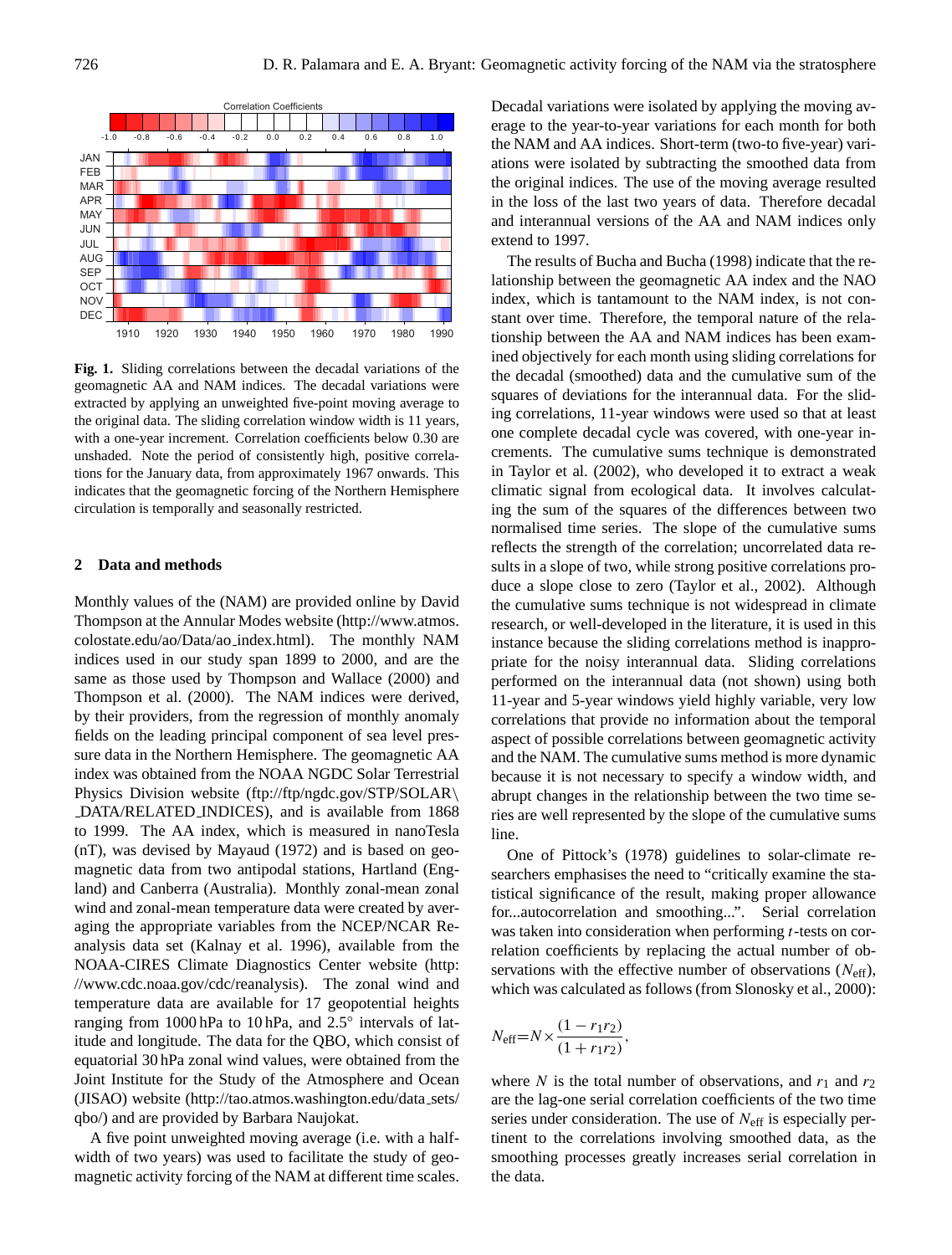

**Fig. 1.** Sliding correlations between the decadal variations of the geomagnetic AA and NAM indices. The decadal variations were extracted by applying an unweighted five-point moving average to the original data. The sliding correlation window width is 11 years, with a one-year increment. Correlation coefficients below 0.30 are unshaded. Note the period of consistently high, positive correlations for the January data, from approximately 1967 onwards. This indicates that the geomagnetic forcing of the Northern Hemisphere circulation is temporally and seasonally restricted.

### **2 Data and methods**

Monthly values of the (NAM) are provided online by David Thompson at the Annular Modes website (http://www.atmos. colostate.edu/ao/Data/ao index.html). The monthly NAM indices used in our study span 1899 to 2000, and are the same as those used by Thompson and Wallace (2000) and Thompson et al. (2000). The NAM indices were derived, by their providers, from the regression of monthly anomaly fields on the leading principal component of sea level pressure data in the Northern Hemisphere. The geomagnetic AA index was obtained from the NOAA NGDC Solar Terrestrial Physics Division website (ftp://ftp/ngdc.gov/STP/SOLAR\ DATA/RELATED INDICES), and is available from 1868 to 1999. The AA index, which is measured in nanoTesla (nT), was devised by Mayaud (1972) and is based on geomagnetic data from two antipodal stations, Hartland (England) and Canberra (Australia). Monthly zonal-mean zonal wind and zonal-mean temperature data were created by averaging the appropriate variables from the NCEP/NCAR Reanalysis data set (Kalnay et al. 1996), available from the NOAA-CIRES Climate Diagnostics Center website (http: //www.cdc.noaa.gov/cdc/reanalysis). The zonal wind and temperature data are available for 17 geopotential heights ranging from 1000 hPa to 10 hPa, and 2.5° intervals of latitude and longitude. The data for the QBO, which consist of equatorial 30 hPa zonal wind values, were obtained from the Joint Institute for the Study of the Atmosphere and Ocean (JISAO) website (http://tao.atmos.washington.edu/data sets/ qbo/) and are provided by Barbara Naujokat.

A five point unweighted moving average (i.e. with a halfwidth of two years) was used to facilitate the study of geomagnetic activity forcing of the NAM at different time scales. Decadal variations were isolated by applying the moving average to the year-to-year variations for each month for both the NAM and AA indices. Short-term (two-to five-year) variations were isolated by subtracting the smoothed data from the original indices. The use of the moving average resulted in the loss of the last two years of data. Therefore decadal and interannual versions of the AA and NAM indices only extend to 1997.

The results of Bucha and Bucha (1998) indicate that the relationship between the geomagnetic AA index and the NAO index, which is tantamount to the NAM index, is not constant over time. Therefore, the temporal nature of the relationship between the AA and NAM indices has been examined objectively for each month using sliding correlations for the decadal (smoothed) data and the cumulative sum of the squares of deviations for the interannual data. For the sliding correlations, 11-year windows were used so that at least one complete decadal cycle was covered, with one-year increments. The cumulative sums technique is demonstrated in Taylor et al. (2002), who developed it to extract a weak climatic signal from ecological data. It involves calculating the sum of the squares of the differences between two normalised time series. The slope of the cumulative sums reflects the strength of the correlation; uncorrelated data results in a slope of two, while strong positive correlations produce a slope close to zero (Taylor et al., 2002). Although the cumulative sums technique is not widespread in climate research, or well-developed in the literature, it is used in this instance because the sliding correlations method is inappropriate for the noisy interannual data. Sliding correlations performed on the interannual data (not shown) using both 11-year and 5-year windows yield highly variable, very low correlations that provide no information about the temporal aspect of possible correlations between geomagnetic activity and the NAM. The cumulative sums method is more dynamic because it is not necessary to specify a window width, and abrupt changes in the relationship between the two time series are well represented by the slope of the cumulative sums line.

One of Pittock's (1978) guidelines to solar-climate researchers emphasises the need to "critically examine the statistical significance of the result, making proper allowance for...autocorrelation and smoothing...". Serial correlation was taken into consideration when performing *t*-tests on correlation coefficients by replacing the actual number of observations with the effective number of observations  $(N_{\text{eff}})$ , which was calculated as follows (from Slonosky et al., 2000):

$$
N_{\text{eff}} = N \times \frac{(1 - r_1 r_2)}{(1 + r_1 r_2)},
$$

where N is the total number of observations, and  $r_1$  and  $r_2$ are the lag-one serial correlation coefficients of the two time series under consideration. The use of  $N_{\text{eff}}$  is especially pertinent to the correlations involving smoothed data, as the smoothing processes greatly increases serial correlation in the data.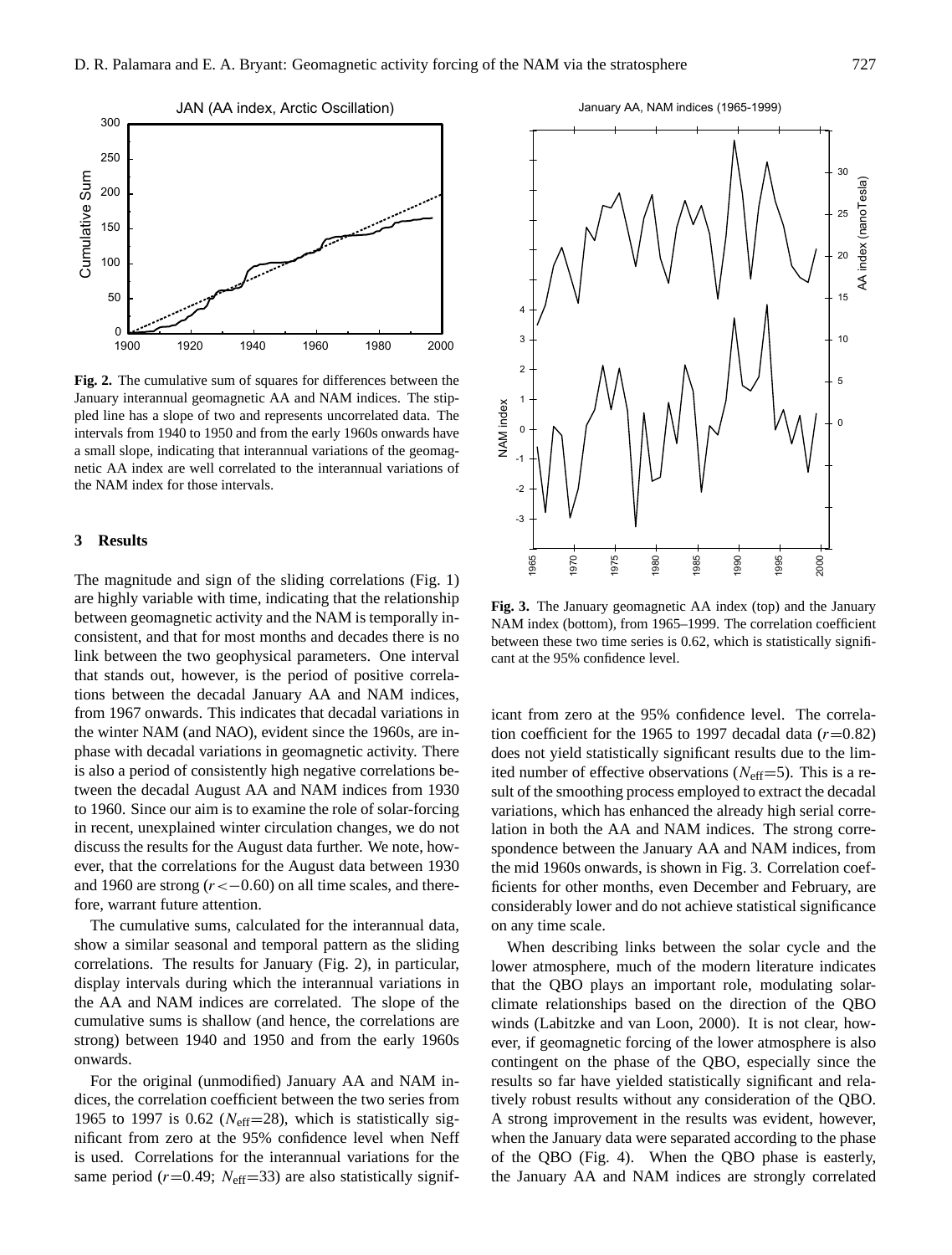

**Fig. 2.** The cumulative sum of squares for differences between the January interannual geomagnetic AA and NAM indices. The stippled line has a slope of two and represents uncorrelated data. The intervals from 1940 to 1950 and from the early 1960s onwards have a small slope, indicating that interannual variations of the geomagnetic AA index are well correlated to the interannual variations of the NAM index for those intervals.

### **3 Results**

The magnitude and sign of the sliding correlations (Fig. 1) are highly variable with time, indicating that the relationship between geomagnetic activity and the NAM is temporally inconsistent, and that for most months and decades there is no link between the two geophysical parameters. One interval that stands out, however, is the period of positive correlations between the decadal January AA and NAM indices, from 1967 onwards. This indicates that decadal variations in the winter NAM (and NAO), evident since the 1960s, are inphase with decadal variations in geomagnetic activity. There is also a period of consistently high negative correlations between the decadal August AA and NAM indices from 1930 to 1960. Since our aim is to examine the role of solar-forcing in recent, unexplained winter circulation changes, we do not discuss the results for the August data further. We note, however, that the correlations for the August data between 1930 and 1960 are strong  $(r < -0.60)$  on all time scales, and therefore, warrant future attention.

The cumulative sums, calculated for the interannual data, show a similar seasonal and temporal pattern as the sliding correlations. The results for January (Fig. 2), in particular, display intervals during which the interannual variations in the AA and NAM indices are correlated. The slope of the cumulative sums is shallow (and hence, the correlations are strong) between 1940 and 1950 and from the early 1960s onwards.

For the original (unmodified) January AA and NAM indices, the correlation coefficient between the two series from 1965 to 1997 is 0.62 ( $N_{\text{eff}}$ =28), which is statistically significant from zero at the 95% confidence level when Neff is used. Correlations for the interannual variations for the same period ( $r=0.49$ ;  $N_{\text{eff}}=33$ ) are also statistically signif-



**Fig. 3.** The January geomagnetic AA index (top) and the January NAM index (bottom), from 1965–1999. The correlation coefficient between these two time series is 0.62, which is statistically significant at the 95% confidence level.

icant from zero at the 95% confidence level. The correlation coefficient for the 1965 to 1997 decadal data  $(r=0.82)$ does not yield statistically significant results due to the limited number of effective observations ( $N_{\text{eff}}$ =5). This is a result of the smoothing process employed to extract the decadal variations, which has enhanced the already high serial correlation in both the AA and NAM indices. The strong correspondence between the January AA and NAM indices, from the mid 1960s onwards, is shown in Fig. 3. Correlation coefficients for other months, even December and February, are considerably lower and do not achieve statistical significance on any time scale.

When describing links between the solar cycle and the lower atmosphere, much of the modern literature indicates that the QBO plays an important role, modulating solarclimate relationships based on the direction of the QBO winds (Labitzke and van Loon, 2000). It is not clear, however, if geomagnetic forcing of the lower atmosphere is also contingent on the phase of the QBO, especially since the results so far have yielded statistically significant and relatively robust results without any consideration of the QBO. A strong improvement in the results was evident, however, when the January data were separated according to the phase of the QBO (Fig. 4). When the QBO phase is easterly, the January AA and NAM indices are strongly correlated

January AA, NAM indices (1965-1999)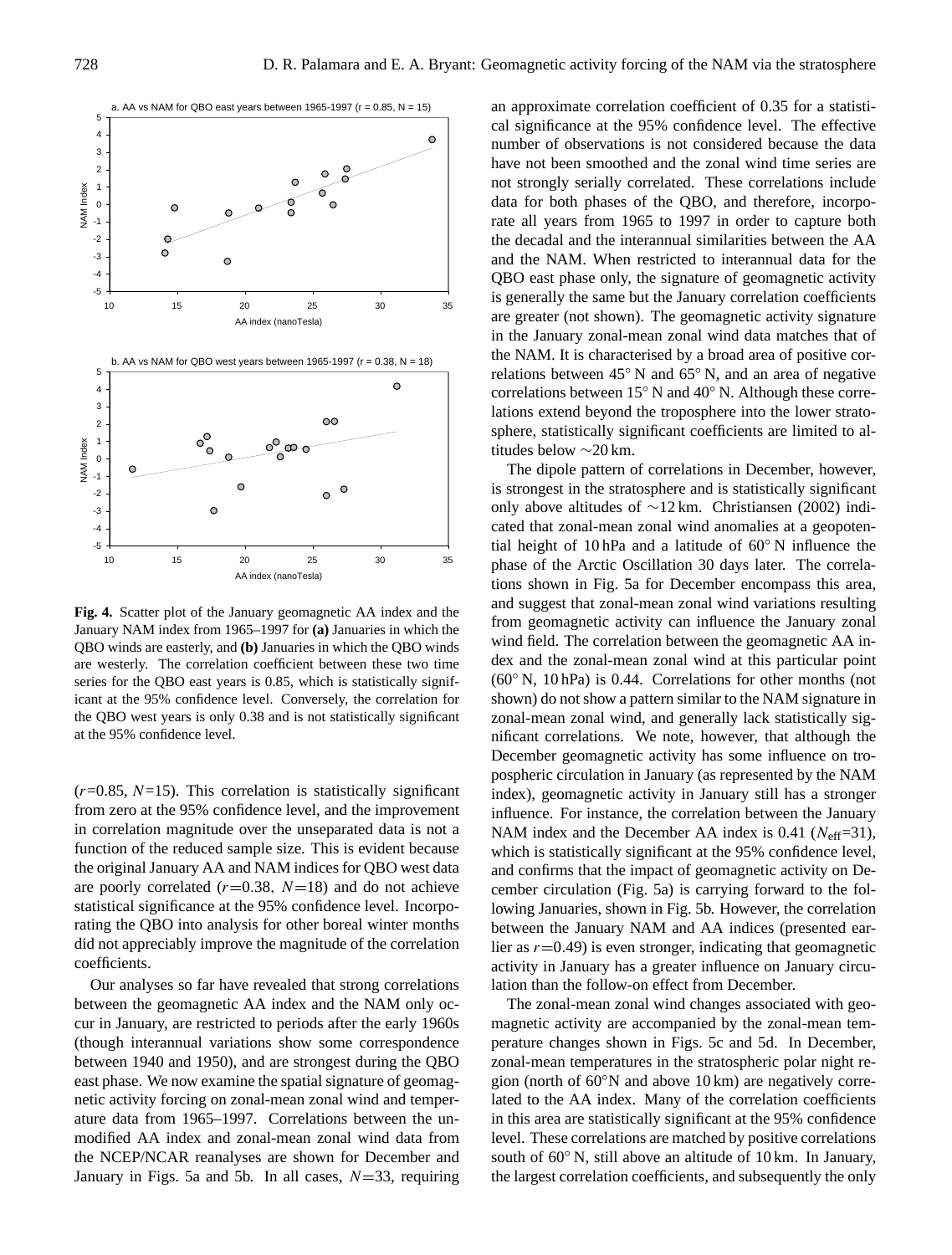

**Fig. 4.** Scatter plot of the January geomagnetic AA index and the January NAM index from 1965–1997 for **(a)** Januaries in which the QBO winds are easterly, and **(b)** Januaries in which the QBO winds are westerly. The correlation coefficient between these two time series for the QBO east years is 0.85, which is statistically significant at the 95% confidence level. Conversely, the correlation for the QBO west years is only 0.38 and is not statistically significant at the 95% confidence level.

 $(r=0.85, N=15)$ . This correlation is statistically significant from zero at the 95% confidence level, and the improvement in correlation magnitude over the unseparated data is not a function of the reduced sample size. This is evident because the original January AA and NAM indices for QBO west data are poorly correlated  $(r=0.38, N=18)$  and do not achieve statistical significance at the 95% confidence level. Incorporating the QBO into analysis for other boreal winter months did not appreciably improve the magnitude of the correlation coefficients.

Our analyses so far have revealed that strong correlations between the geomagnetic AA index and the NAM only occur in January, are restricted to periods after the early 1960s (though interannual variations show some correspondence between 1940 and 1950), and are strongest during the QBO east phase. We now examine the spatial signature of geomagnetic activity forcing on zonal-mean zonal wind and temperature data from 1965–1997. Correlations between the unmodified AA index and zonal-mean zonal wind data from the NCEP/NCAR reanalyses are shown for December and January in Figs. 5a and 5b. In all cases,  $N=33$ , requiring an approximate correlation coefficient of 0.35 for a statistical significance at the 95% confidence level. The effective number of observations is not considered because the data have not been smoothed and the zonal wind time series are not strongly serially correlated. These correlations include data for both phases of the QBO, and therefore, incorporate all years from 1965 to 1997 in order to capture both the decadal and the interannual similarities between the AA and the NAM. When restricted to interannual data for the QBO east phase only, the signature of geomagnetic activity is generally the same but the January correlation coefficients are greater (not shown). The geomagnetic activity signature in the January zonal-mean zonal wind data matches that of the NAM. It is characterised by a broad area of positive correlations between 45◦ N and 65◦ N, and an area of negative correlations between 15◦ N and 40◦ N. Although these correlations extend beyond the troposphere into the lower stratosphere, statistically significant coefficients are limited to altitudes below ∼20 km.

The dipole pattern of correlations in December, however, is strongest in the stratosphere and is statistically significant only above altitudes of ∼12 km. Christiansen (2002) indicated that zonal-mean zonal wind anomalies at a geopotential height of 10 hPa and a latitude of 60◦ N influence the phase of the Arctic Oscillation 30 days later. The correlations shown in Fig. 5a for December encompass this area, and suggest that zonal-mean zonal wind variations resulting from geomagnetic activity can influence the January zonal wind field. The correlation between the geomagnetic AA index and the zonal-mean zonal wind at this particular point (60◦ N, 10 hPa) is 0.44. Correlations for other months (not shown) do not show a pattern similar to the NAM signature in zonal-mean zonal wind, and generally lack statistically significant correlations. We note, however, that although the December geomagnetic activity has some influence on tropospheric circulation in January (as represented by the NAM index), geomagnetic activity in January still has a stronger influence. For instance, the correlation between the January NAM index and the December AA index is 0.41 ( $N_{\text{eff}}$ =31), which is statistically significant at the 95% confidence level, and confirms that the impact of geomagnetic activity on December circulation (Fig. 5a) is carrying forward to the following Januaries, shown in Fig. 5b. However, the correlation between the January NAM and AA indices (presented earlier as  $r=0.49$ ) is even stronger, indicating that geomagnetic activity in January has a greater influence on January circulation than the follow-on effect from December.

The zonal-mean zonal wind changes associated with geomagnetic activity are accompanied by the zonal-mean temperature changes shown in Figs. 5c and 5d. In December, zonal-mean temperatures in the stratospheric polar night region (north of 60◦N and above 10 km) are negatively correlated to the AA index. Many of the correlation coefficients in this area are statistically significant at the 95% confidence level. These correlations are matched by positive correlations south of 60<sup>°</sup> N, still above an altitude of 10 km. In January, the largest correlation coefficients, and subsequently the only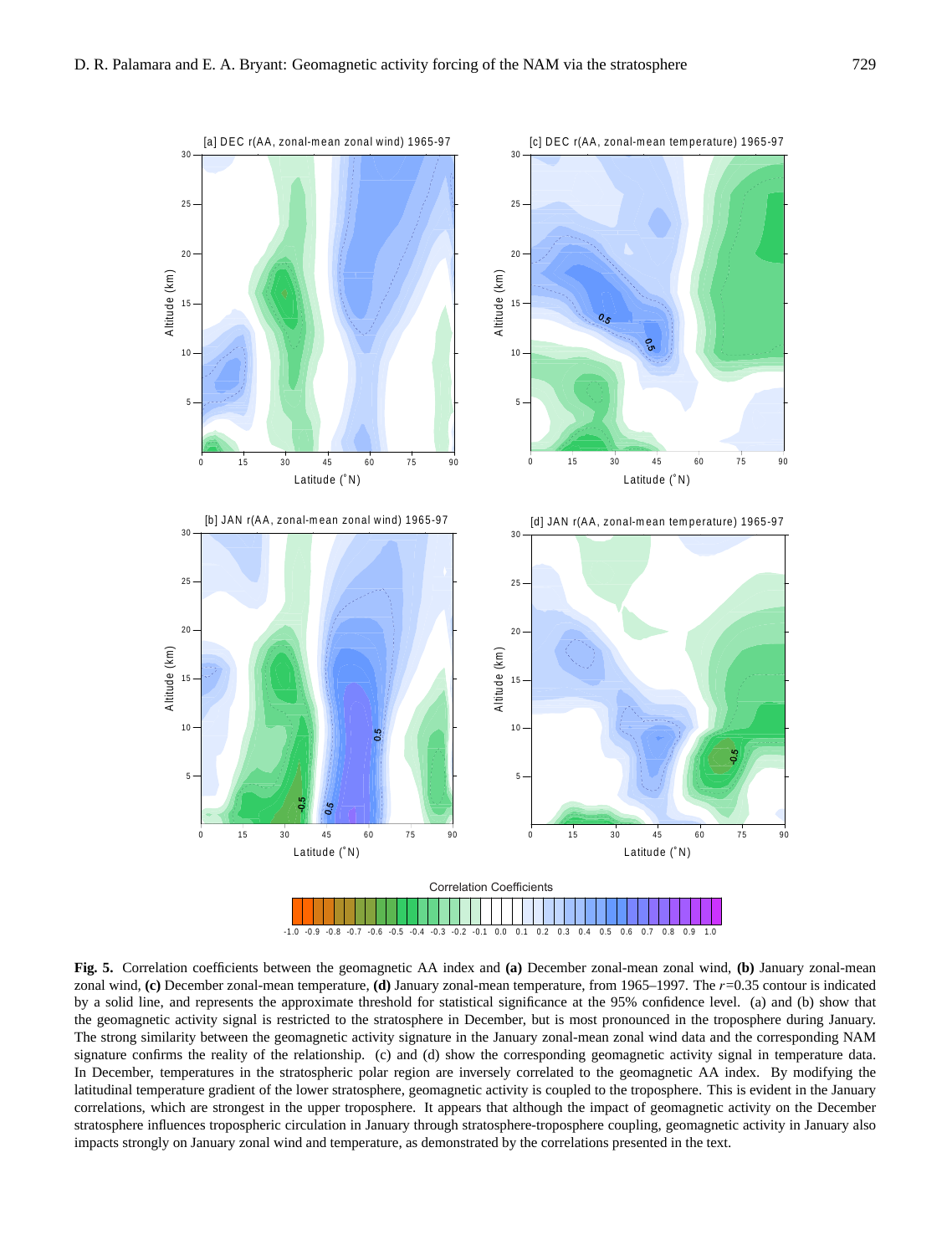

**Fig. 5.** Correlation coefficients between the geomagnetic AA index and **(a)** December zonal-mean zonal wind, **(b)** January zonal-mean zonal wind, **(c)** December zonal-mean temperature, **(d)** January zonal-mean temperature, from 1965–1997. The r=0.35 contour is indicated by a solid line, and represents the approximate threshold for statistical significance at the 95% confidence level. (a) and (b) show that the geomagnetic activity signal is restricted to the stratosphere in December, but is most pronounced in the troposphere during January. The strong similarity between the geomagnetic activity signature in the January zonal-mean zonal wind data and the corresponding NAM signature confirms the reality of the relationship. (c) and (d) show the corresponding geomagnetic activity signal in temperature data. In December, temperatures in the stratospheric polar region are inversely correlated to the geomagnetic AA index. By modifying the latitudinal temperature gradient of the lower stratosphere, geomagnetic activity is coupled to the troposphere. This is evident in the January correlations, which are strongest in the upper troposphere. It appears that although the impact of geomagnetic activity on the December stratosphere influences tropospheric circulation in January through stratosphere-troposphere coupling, geomagnetic activity in January also impacts strongly on January zonal wind and temperature, as demonstrated by the correlations presented in the text.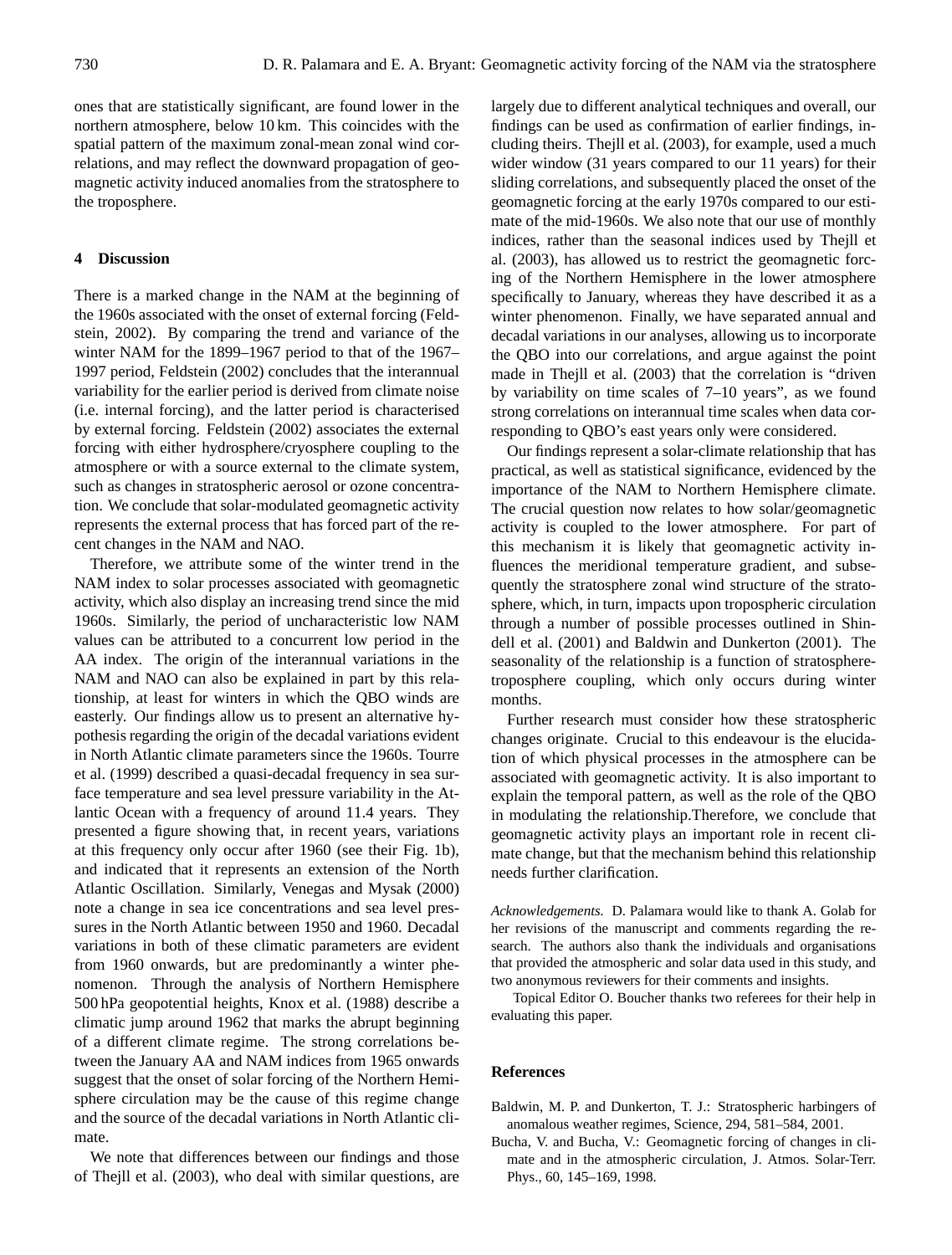ones that are statistically significant, are found lower in the northern atmosphere, below 10 km. This coincides with the spatial pattern of the maximum zonal-mean zonal wind correlations, and may reflect the downward propagation of geomagnetic activity induced anomalies from the stratosphere to the troposphere.

#### **4 Discussion**

There is a marked change in the NAM at the beginning of the 1960s associated with the onset of external forcing (Feldstein, 2002). By comparing the trend and variance of the winter NAM for the 1899–1967 period to that of the 1967– 1997 period, Feldstein (2002) concludes that the interannual variability for the earlier period is derived from climate noise (i.e. internal forcing), and the latter period is characterised by external forcing. Feldstein (2002) associates the external forcing with either hydrosphere/cryosphere coupling to the atmosphere or with a source external to the climate system, such as changes in stratospheric aerosol or ozone concentration. We conclude that solar-modulated geomagnetic activity represents the external process that has forced part of the recent changes in the NAM and NAO.

Therefore, we attribute some of the winter trend in the NAM index to solar processes associated with geomagnetic activity, which also display an increasing trend since the mid 1960s. Similarly, the period of uncharacteristic low NAM values can be attributed to a concurrent low period in the AA index. The origin of the interannual variations in the NAM and NAO can also be explained in part by this relationship, at least for winters in which the QBO winds are easterly. Our findings allow us to present an alternative hypothesis regarding the origin of the decadal variations evident in North Atlantic climate parameters since the 1960s. Tourre et al. (1999) described a quasi-decadal frequency in sea surface temperature and sea level pressure variability in the Atlantic Ocean with a frequency of around 11.4 years. They presented a figure showing that, in recent years, variations at this frequency only occur after 1960 (see their Fig. 1b), and indicated that it represents an extension of the North Atlantic Oscillation. Similarly, Venegas and Mysak (2000) note a change in sea ice concentrations and sea level pressures in the North Atlantic between 1950 and 1960. Decadal variations in both of these climatic parameters are evident from 1960 onwards, but are predominantly a winter phenomenon. Through the analysis of Northern Hemisphere 500 hPa geopotential heights, Knox et al. (1988) describe a climatic jump around 1962 that marks the abrupt beginning of a different climate regime. The strong correlations between the January AA and NAM indices from 1965 onwards suggest that the onset of solar forcing of the Northern Hemisphere circulation may be the cause of this regime change and the source of the decadal variations in North Atlantic climate.

We note that differences between our findings and those of Thejll et al. (2003), who deal with similar questions, are largely due to different analytical techniques and overall, our findings can be used as confirmation of earlier findings, including theirs. Thejll et al. (2003), for example, used a much wider window (31 years compared to our 11 years) for their sliding correlations, and subsequently placed the onset of the geomagnetic forcing at the early 1970s compared to our estimate of the mid-1960s. We also note that our use of monthly indices, rather than the seasonal indices used by Thejll et al. (2003), has allowed us to restrict the geomagnetic forcing of the Northern Hemisphere in the lower atmosphere specifically to January, whereas they have described it as a winter phenomenon. Finally, we have separated annual and decadal variations in our analyses, allowing us to incorporate the QBO into our correlations, and argue against the point made in Thejll et al. (2003) that the correlation is "driven by variability on time scales of 7–10 years", as we found strong correlations on interannual time scales when data corresponding to QBO's east years only were considered.

Our findings represent a solar-climate relationship that has practical, as well as statistical significance, evidenced by the importance of the NAM to Northern Hemisphere climate. The crucial question now relates to how solar/geomagnetic activity is coupled to the lower atmosphere. For part of this mechanism it is likely that geomagnetic activity influences the meridional temperature gradient, and subsequently the stratosphere zonal wind structure of the stratosphere, which, in turn, impacts upon tropospheric circulation through a number of possible processes outlined in Shindell et al. (2001) and Baldwin and Dunkerton (2001). The seasonality of the relationship is a function of stratospheretroposphere coupling, which only occurs during winter months.

Further research must consider how these stratospheric changes originate. Crucial to this endeavour is the elucidation of which physical processes in the atmosphere can be associated with geomagnetic activity. It is also important to explain the temporal pattern, as well as the role of the QBO in modulating the relationship.Therefore, we conclude that geomagnetic activity plays an important role in recent climate change, but that the mechanism behind this relationship needs further clarification.

*Acknowledgements.* D. Palamara would like to thank A. Golab for her revisions of the manuscript and comments regarding the research. The authors also thank the individuals and organisations that provided the atmospheric and solar data used in this study, and two anonymous reviewers for their comments and insights.

Topical Editor O. Boucher thanks two referees for their help in evaluating this paper.

#### **References**

- Baldwin, M. P. and Dunkerton, T. J.: Stratospheric harbingers of anomalous weather regimes, Science, 294, 581–584, 2001.
- Bucha, V. and Bucha, V.: Geomagnetic forcing of changes in climate and in the atmospheric circulation, J. Atmos. Solar-Terr. Phys., 60, 145–169, 1998.